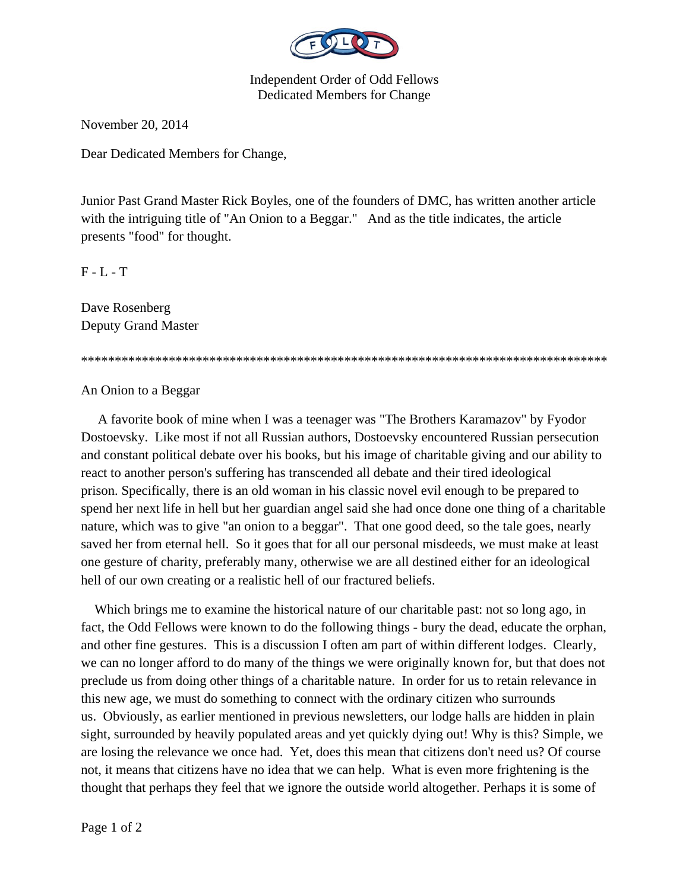

Independent Order of Odd Fellows Dedicated Members for Change

November 20, 2014

Dear Dedicated Members for Change,

Junior Past Grand Master Rick Boyles, one of the founders of DMC, has written another article with the intriguing title of "An Onion to a Beggar." And as the title indicates, the article presents "food" for thought.

F - L - T

Dave Rosenberg Deputy Grand Master

\*\*\*\*\*\*\*\*\*\*\*\*\*\*\*\*\*\*\*\*\*\*\*\*\*\*\*\*\*\*\*\*\*\*\*\*\*\*\*\*\*\*\*\*\*\*\*\*\*\*\*\*\*\*\*\*\*\*\*\*\*\*\*\*\*\*\*\*\*\*\*\*\*\*\*\*\*\*

## An Onion to a Beggar

 A favorite book of mine when I was a teenager was "The Brothers Karamazov" by Fyodor Dostoevsky. Like most if not all Russian authors, Dostoevsky encountered Russian persecution and constant political debate over his books, but his image of charitable giving and our ability to react to another person's suffering has transcended all debate and their tired ideological prison. Specifically, there is an old woman in his classic novel evil enough to be prepared to spend her next life in hell but her guardian angel said she had once done one thing of a charitable nature, which was to give "an onion to a beggar". That one good deed, so the tale goes, nearly saved her from eternal hell. So it goes that for all our personal misdeeds, we must make at least one gesture of charity, preferably many, otherwise we are all destined either for an ideological hell of our own creating or a realistic hell of our fractured beliefs.

 Which brings me to examine the historical nature of our charitable past: not so long ago, in fact, the Odd Fellows were known to do the following things - bury the dead, educate the orphan, and other fine gestures. This is a discussion I often am part of within different lodges. Clearly, we can no longer afford to do many of the things we were originally known for, but that does not preclude us from doing other things of a charitable nature. In order for us to retain relevance in this new age, we must do something to connect with the ordinary citizen who surrounds us. Obviously, as earlier mentioned in previous newsletters, our lodge halls are hidden in plain sight, surrounded by heavily populated areas and yet quickly dying out! Why is this? Simple, we are losing the relevance we once had. Yet, does this mean that citizens don't need us? Of course not, it means that citizens have no idea that we can help. What is even more frightening is the thought that perhaps they feel that we ignore the outside world altogether. Perhaps it is some of